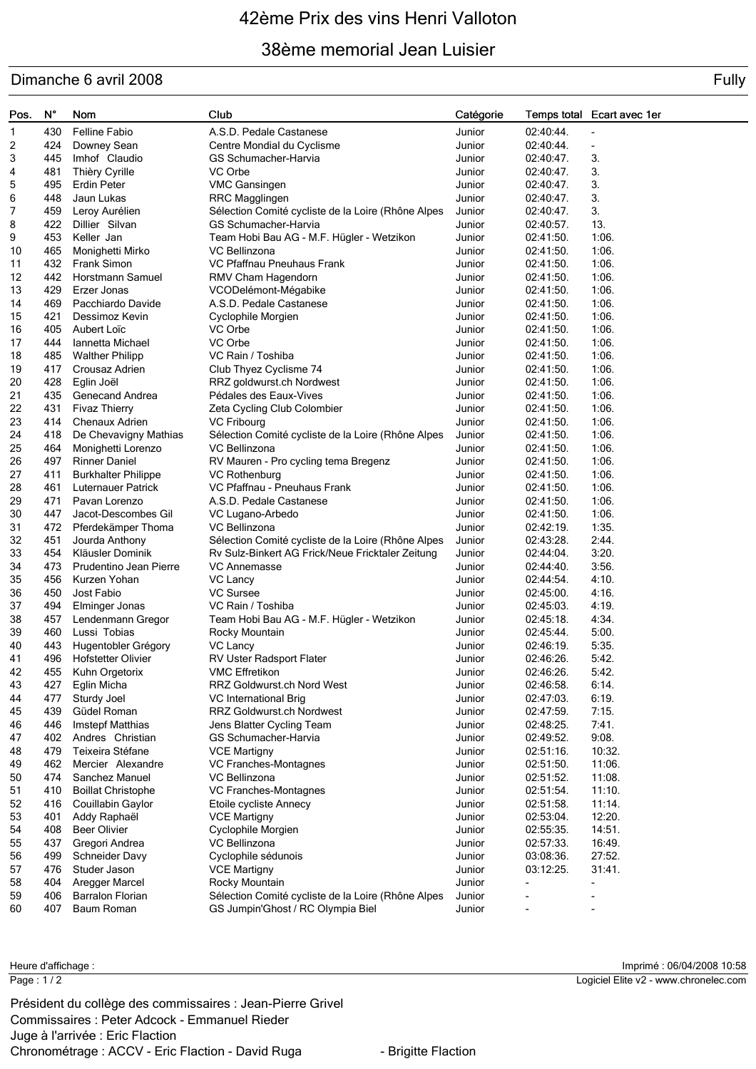# 42ème Prix des vins Henri Valloton

### 38ème memorial Jean Luisier

### Dimanche 6 avril 2008 Fully and the state of the state of the state of the state of the state of the state of the state of the state of the state of the state of the state of the state of the state of the state of the stat

| Pos.     | N°         | Nom                                    | Club                                               | Catégorie        |                        | Temps total Ecart avec 1er |
|----------|------------|----------------------------------------|----------------------------------------------------|------------------|------------------------|----------------------------|
| 1.       | 430        | <b>Felline Fabio</b>                   | A.S.D. Pedale Castanese                            | Junior           | $02:40:44$ .           |                            |
| 2        | 424        | Downey Sean                            | Centre Mondial du Cyclisme                         | Junior           | 02:40:44               | $\overline{\phantom{a}}$   |
| 3        | 445        | Imhof Claudio                          | GS Schumacher-Harvia                               | Junior           | $02:40:47$ .           | 3.                         |
| 4        | 481        | Thièry Cyrille                         | VC Orbe                                            | Junior           | $02:40:47$ .           | 3.                         |
| 5        | 495        | <b>Erdin Peter</b>                     | <b>VMC Gansingen</b>                               | Junior           | 02:40:47.              | 3.                         |
| 6        | 448        | Jaun Lukas                             | RRC Magglingen                                     | Junior           | $02:40:47$ .           | 3.                         |
| 7        | 459        | Leroy Aurélien                         | Sélection Comité cycliste de la Loire (Rhône Alpes | Junior           | $02:40:47$ .           | 3.                         |
| 8        | 422        | Dillier Silvan                         | GS Schumacher-Harvia                               | Junior           | $02:40:57$ .           | 13.                        |
| 9        | 453        | Keller Jan                             | Team Hobi Bau AG - M.F. Hügler - Wetzikon          | Junior           | 02:41:50.              | 1:06.                      |
| 10       | 465        | Monighetti Mirko                       | VC Bellinzona                                      | Junior           | 02:41:50.              | 1:06.                      |
| 11       | 432        | Frank Simon                            | VC Pfaffnau Pneuhaus Frank                         | Junior           | 02:41:50.              | 1:06.                      |
| 12       | 442        | Horstmann Samuel                       | RMV Cham Hagendorn                                 | Junior           | 02:41:50.              | 1:06.                      |
| 13       | 429        | Erzer Jonas                            | VCODelémont-Mégabike                               | Junior           | 02:41:50.              | 1:06.                      |
| 14       | 469        | Pacchiardo Davide                      | A.S.D. Pedale Castanese                            | Junior           | 02:41:50.              | 1:06.                      |
| 15       | 421        | Dessimoz Kevin                         | Cyclophile Morgien                                 | Junior           | 02:41:50.              | 1:06.                      |
| 16       | 405        | Aubert Loïc                            | VC Orbe                                            | Junior           | 02:41:50.              | 1:06.                      |
| 17       | 444        | Iannetta Michael                       | VC Orbe                                            | Junior           | 02:41:50.              | 1:06.                      |
| 18       | 485        | <b>Walther Philipp</b>                 | VC Rain / Toshiba                                  | Junior           | 02:41:50.              | 1:06.                      |
| 19       | 417        | Crousaz Adrien                         | Club Thyez Cyclisme 74                             | Junior           | 02:41:50.              | 1:06.                      |
| 20       | 428        | Eglin Joël                             | RRZ goldwurst.ch Nordwest                          | Junior           | 02:41:50.              | 1:06.                      |
| 21       | 435        | <b>Genecand Andrea</b>                 | Pédales des Eaux-Vives                             | Junior           | 02:41:50.              | 1:06.                      |
| 22       | 431        | <b>Fivaz Thierry</b>                   | Zeta Cycling Club Colombier                        | Junior           | 02:41:50.              | 1:06.                      |
| 23       | 414        | Chenaux Adrien                         | <b>VC Fribourg</b>                                 | Junior           | 02:41:50.              | 1:06.                      |
| 24       | 418        | De Chevavigny Mathias                  | Sélection Comité cycliste de la Loire (Rhône Alpes | Junior           | 02:41:50.              | 1:06.                      |
| 25       | 464        | Monighetti Lorenzo                     | VC Bellinzona                                      | Junior           | 02:41:50.              | 1:06.                      |
| 26       | 497        | <b>Rinner Daniel</b>                   | RV Mauren - Pro cycling tema Bregenz               | Junior           | 02:41:50.              | 1:06.                      |
| 27       | 411        | <b>Burkhalter Philippe</b>             | VC Rothenburg                                      | Junior           | 02:41:50.              | 1:06.                      |
| 28       | 461        | Luternauer Patrick                     | VC Pfaffnau - Pneuhaus Frank                       | Junior           | 02:41:50.              | 1:06.                      |
| 29       | 471        | Pavan Lorenzo                          | A.S.D. Pedale Castanese                            | Junior           | 02:41:50.              | 1:06.                      |
| 30       | 447        | Jacot-Descombes Gil                    | VC Lugano-Arbedo                                   | Junior           | 02:41:50.              | 1:06.                      |
| 31<br>32 |            | 472 Pferdekämper Thoma                 | VC Bellinzona                                      | Junior           | 02:42:19.              | 1:35.                      |
|          | 451        | Jourda Anthony                         | Sélection Comité cycliste de la Loire (Rhône Alpes | Junior           | 02:43:28.              | 2:44.                      |
| 33       | 454        | Kläusler Dominik                       | Rv Sulz-Binkert AG Frick/Neue Fricktaler Zeitung   | Junior           | 02:44:04               | 3:20.<br>3:56.             |
| 34<br>35 | 473<br>456 | Prudentino Jean Pierre<br>Kurzen Yohan | VC Annemasse                                       | Junior           | 02:44:40.<br>02:44:54. | 4:10.                      |
| 36       | 450        | Jost Fabio                             | VC Lancy<br><b>VC Sursee</b>                       | Junior           | 02:45:00.              | 4:16.                      |
| 37       | 494        |                                        | VC Rain / Toshiba                                  | Junior<br>Junior | $02:45:03$ .           | 4:19.                      |
| 38       | 457        | Elminger Jonas<br>Lendenmann Gregor    | Team Hobi Bau AG - M.F. Hügler - Wetzikon          | Junior           | 02:45:18.              | 4:34.                      |
| 39       | 460        | Lussi Tobias                           | Rocky Mountain                                     | Junior           | 02:45:44.              | 5:00.                      |
| 40       | 443        | Hugentobler Grégory                    | VC Lancy                                           | Junior           | 02:46:19.              | 5:35.                      |
| 41       | 496        | <b>Hofstetter Olivier</b>              | <b>RV Uster Radsport Flater</b>                    | Junior           | 02:46:26.              | 5:42.                      |
| 42       | 455        | Kuhn Orgetorix                         | <b>VMC Effretikon</b>                              | Junior           | 02:46:26.              | 5:42.                      |
| 43       | 427        | Eglin Micha                            | RRZ Goldwurst.ch Nord West                         | Junior           | 02:46:58.              | 6:14.                      |
| 44       | 477        | Sturdy Joel                            | VC International Brig                              | Junior           | 02:47:03.              | 6:19.                      |
| 45       | 439        | Güdel Roman                            | RRZ Goldwurst.ch Nordwest                          | Junior           | 02:47:59.              | 7:15.                      |
| 46       | 446        | Imstepf Matthias                       | Jens Blatter Cycling Team                          | Junior           | 02:48:25.              | 7:41.                      |
| 47       | 402        | Andres Christian                       | GS Schumacher-Harvia                               | Junior           | 02:49:52.              | 9:08.                      |
| 48       | 479        | Teixeira Stéfane                       | <b>VCE Martigny</b>                                | Junior           | 02:51:16.              | 10:32.                     |
| 49       | 462        | Mercier Alexandre                      | VC Franches-Montagnes                              | Junior           | 02:51:50.              | 11:06.                     |
| 50       | 474        | Sanchez Manuel                         | VC Bellinzona                                      | Junior           | 02:51:52.              | 11:08.                     |
| 51       | 410        | <b>Boillat Christophe</b>              | VC Franches-Montagnes                              | Junior           | 02:51:54.              | 11:10.                     |
| 52       | 416        | Couillabin Gaylor                      | Etoile cycliste Annecy                             | Junior           | 02:51:58.              | 11:14.                     |
| 53       | 401        | Addy Raphaël                           | <b>VCE Martigny</b>                                | Junior           | 02:53:04.              | 12:20.                     |
| 54       | 408        | <b>Beer Olivier</b>                    | Cyclophile Morgien                                 | Junior           | 02:55:35.              | 14:51.                     |
| 55       | 437        | Gregori Andrea                         | VC Bellinzona                                      | Junior           | 02:57:33.              | 16:49.                     |
| 56       | 499        | Schneider Davy                         | Cyclophile sédunois                                | Junior           | 03:08:36.              | 27:52.                     |
| 57       | 476        | Studer Jason                           | <b>VCE Martigny</b>                                | Junior           | 03:12:25.              | 31:41.                     |
| 58       | 404        | Aregger Marcel                         | Rocky Mountain                                     | Junior           |                        | $\overline{a}$             |
| 59       | 406        | <b>Barralon Florian</b>                | Sélection Comité cycliste de la Loire (Rhône Alpes | Junior           |                        | $\overline{a}$             |
| 60       | 407        | Baum Roman                             | GS Jumpin'Ghost / RC Olympia Biel                  | Junior           |                        |                            |
|          |            |                                        |                                                    |                  |                        |                            |

Page : 1/2

Chronométrage : ACCV - Eric Flaction - David Ruga - Brigitte Flaction Juge à l'arrivée : Eric Flaction Commissaires : Peter Adcock - Emmanuel Rieder Président du collège des commissaires : Jean-Pierre Grivel

Logiciel Elite v2 - www.chronelec.com Heure d'affichage : Imprimé : 06/04/2008 10:58